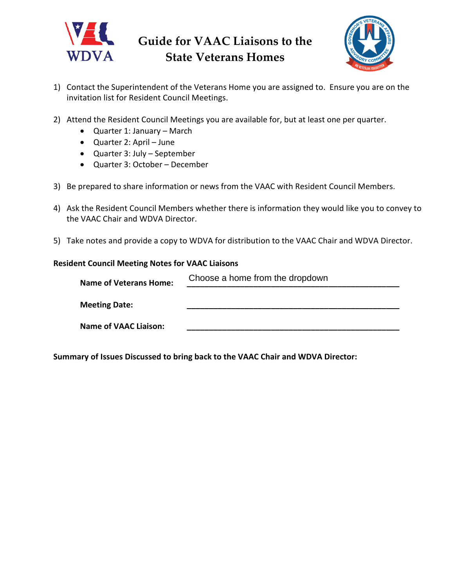



- 1) Contact the Superintendent of the Veterans Home you are assigned to. Ensure you are on the invitation list for Resident Council Meetings.
- 2) Attend the Resident Council Meetings you are available for, but at least one per quarter.
	- Quarter 1: January March
	- Quarter 2: April June
	- Quarter 3: July September
	- Quarter 3: October December
- 3) Be prepared to share information or news from the VAAC with Resident Council Members.
- 4) Ask the Resident Council Members whether there is information they would like you to convey to the VAAC Chair and WDVA Director.
- 5) Take notes and provide a copy to WDVA for distribution to the VAAC Chair and WDVA Director.

## **Resident Council Meeting Notes for VAAC Liaisons**

| <b>Name of Veterans Home:</b> | Choose a home from the dropdown |
|-------------------------------|---------------------------------|
| <b>Meeting Date:</b>          |                                 |
| <b>Name of VAAC Liaison:</b>  |                                 |

**Summary of Issues Discussed to bring back to the VAAC Chair and WDVA Director:**